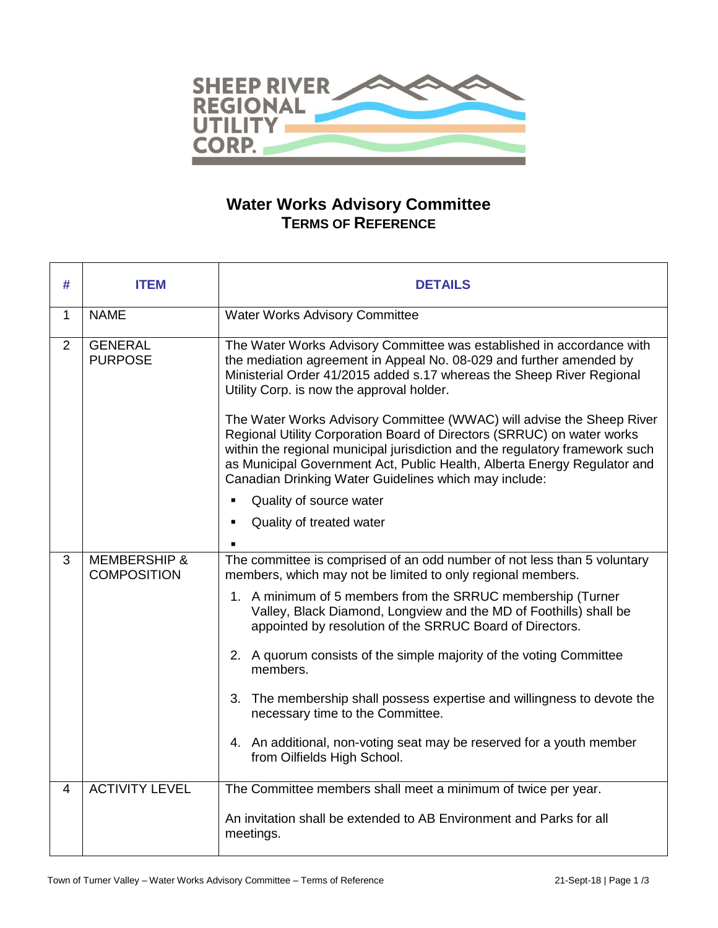

## **Water Works Advisory Committee TERMS OF REFERENCE**

| # | <b>ITEM</b>                                   | <b>DETAILS</b>                                                                                                                                                                                                                                                                                                                                                                                                                                                                                                                                                                                                                                                                                               |
|---|-----------------------------------------------|--------------------------------------------------------------------------------------------------------------------------------------------------------------------------------------------------------------------------------------------------------------------------------------------------------------------------------------------------------------------------------------------------------------------------------------------------------------------------------------------------------------------------------------------------------------------------------------------------------------------------------------------------------------------------------------------------------------|
| 1 | <b>NAME</b>                                   | Water Works Advisory Committee                                                                                                                                                                                                                                                                                                                                                                                                                                                                                                                                                                                                                                                                               |
| 2 | <b>GENERAL</b><br><b>PURPOSE</b>              | The Water Works Advisory Committee was established in accordance with<br>the mediation agreement in Appeal No. 08-029 and further amended by<br>Ministerial Order 41/2015 added s.17 whereas the Sheep River Regional<br>Utility Corp. is now the approval holder.<br>The Water Works Advisory Committee (WWAC) will advise the Sheep River<br>Regional Utility Corporation Board of Directors (SRRUC) on water works<br>within the regional municipal jurisdiction and the regulatory framework such<br>as Municipal Government Act, Public Health, Alberta Energy Regulator and<br>Canadian Drinking Water Guidelines which may include:<br>Quality of source water<br>٠<br>Quality of treated water<br>×, |
| 3 | <b>MEMBERSHIP &amp;</b><br><b>COMPOSITION</b> | The committee is comprised of an odd number of not less than 5 voluntary<br>members, which may not be limited to only regional members.<br>1. A minimum of 5 members from the SRRUC membership (Turner<br>Valley, Black Diamond, Longview and the MD of Foothills) shall be<br>appointed by resolution of the SRRUC Board of Directors.<br>2. A quorum consists of the simple majority of the voting Committee<br>members.<br>3. The membership shall possess expertise and willingness to devote the<br>necessary time to the Committee.<br>4. An additional, non-voting seat may be reserved for a youth member<br>from Oilfields High School.                                                             |
| 4 | <b>ACTIVITY LEVEL</b>                         | The Committee members shall meet a minimum of twice per year.<br>An invitation shall be extended to AB Environment and Parks for all<br>meetings.                                                                                                                                                                                                                                                                                                                                                                                                                                                                                                                                                            |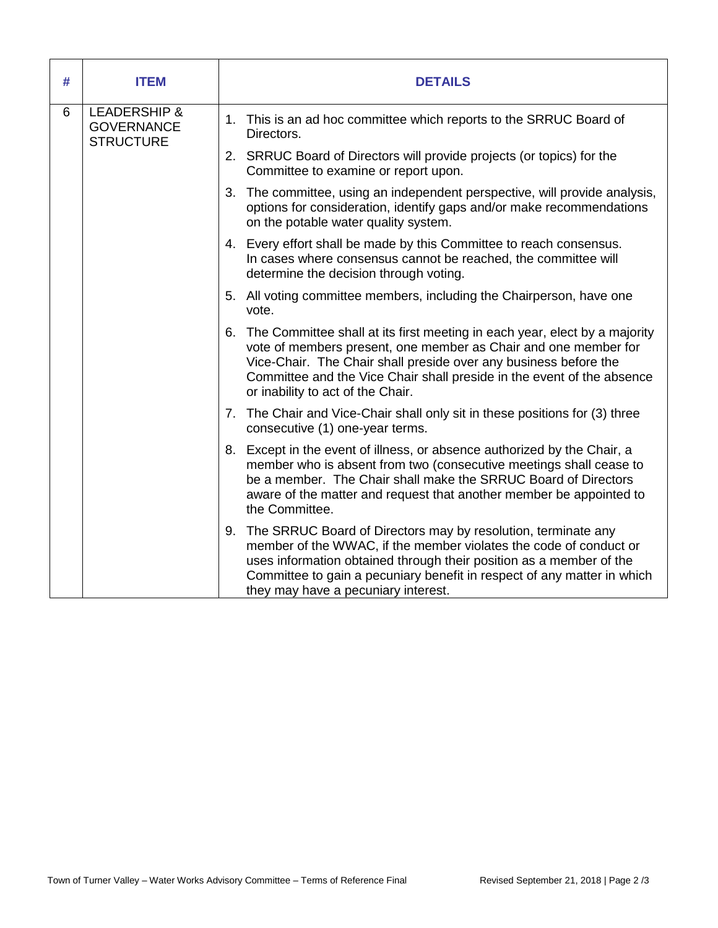| # | <b>ITEM</b>                                                      | <b>DETAILS</b>                                                                                                                                                                                                                                                                                                                      |
|---|------------------------------------------------------------------|-------------------------------------------------------------------------------------------------------------------------------------------------------------------------------------------------------------------------------------------------------------------------------------------------------------------------------------|
| 6 | <b>LEADERSHIP &amp;</b><br><b>GOVERNANCE</b><br><b>STRUCTURE</b> | 1. This is an ad hoc committee which reports to the SRRUC Board of<br>Directors.                                                                                                                                                                                                                                                    |
|   |                                                                  | 2. SRRUC Board of Directors will provide projects (or topics) for the<br>Committee to examine or report upon.                                                                                                                                                                                                                       |
|   |                                                                  | 3. The committee, using an independent perspective, will provide analysis,<br>options for consideration, identify gaps and/or make recommendations<br>on the potable water quality system.                                                                                                                                          |
|   |                                                                  | 4. Every effort shall be made by this Committee to reach consensus.<br>In cases where consensus cannot be reached, the committee will<br>determine the decision through voting.                                                                                                                                                     |
|   |                                                                  | 5. All voting committee members, including the Chairperson, have one<br>vote.                                                                                                                                                                                                                                                       |
|   |                                                                  | 6. The Committee shall at its first meeting in each year, elect by a majority<br>vote of members present, one member as Chair and one member for<br>Vice-Chair. The Chair shall preside over any business before the<br>Committee and the Vice Chair shall preside in the event of the absence<br>or inability to act of the Chair. |
|   |                                                                  | 7. The Chair and Vice-Chair shall only sit in these positions for (3) three<br>consecutive (1) one-year terms.                                                                                                                                                                                                                      |
|   |                                                                  | 8. Except in the event of illness, or absence authorized by the Chair, a<br>member who is absent from two (consecutive meetings shall cease to<br>be a member. The Chair shall make the SRRUC Board of Directors<br>aware of the matter and request that another member be appointed to<br>the Committee.                           |
|   |                                                                  | 9. The SRRUC Board of Directors may by resolution, terminate any<br>member of the WWAC, if the member violates the code of conduct or<br>uses information obtained through their position as a member of the<br>Committee to gain a pecuniary benefit in respect of any matter in which<br>they may have a pecuniary interest.      |